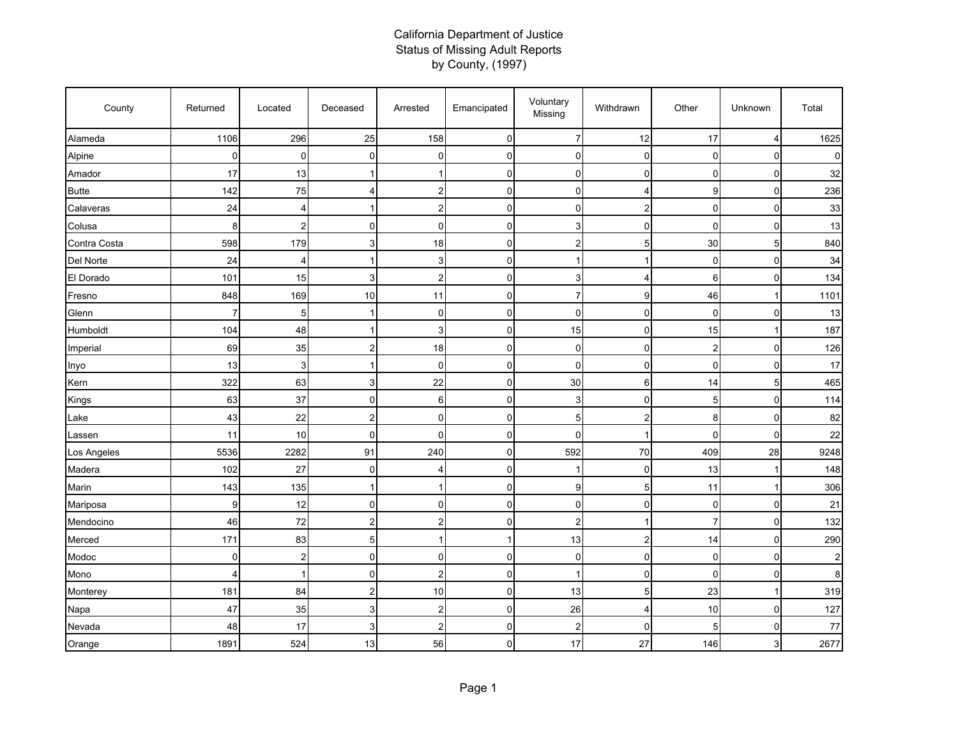## California Department of Justice Status of Missing Adult Reports by County, (1997)

| County       | Returned       | Located        | Deceased                | Arrested                | Emancipated | Voluntary<br>Missing | Withdrawn      | Other                   | Unknown        | Total          |
|--------------|----------------|----------------|-------------------------|-------------------------|-------------|----------------------|----------------|-------------------------|----------------|----------------|
| Alameda      | 1106           | 296            | 25                      | 158                     | 0           | $\overline{7}$       | 12             | 17                      | $\overline{4}$ | 1625           |
| Alpine       | $\Omega$       | $\mathbf 0$    | $\overline{0}$          | 0                       | $\mathbf 0$ | $\mathbf 0$          | 0              | 0                       | $\mathbf 0$    | $\Omega$       |
| Amador       | 17             | 13             |                         | 1                       | $\mathbf 0$ | 0                    | 0              | 0                       | $\mathbf 0$    | 32             |
| <b>Butte</b> | 142            | 75             | 4                       | 2                       | 0           | 0                    | 4              | 9                       | $\mathbf 0$    | 236            |
| Calaveras    | 24             | 4              | 1                       | 2                       | $\mathbf 0$ | 0                    | $\overline{2}$ | $\mathbf 0$             | $\mathbf 0$    | 33             |
| Colusa       | 8              | 2              | $\Omega$                | $\Omega$                | $\mathbf 0$ | 3                    | 0              | $\Omega$                | $\mathbf 0$    | 13             |
| Contra Costa | 598            | 179            | $\overline{3}$          | 18                      | 0           | $\overline{2}$       | 5              | 30                      | 5              | 840            |
| Del Norte    | 24             | $\overline{4}$ | 1                       | 3                       | $\mathbf 0$ |                      | 1              | 0                       | $\mathbf 0$    | 34             |
| El Dorado    | 101            | 15             | 3                       | $\overline{a}$          | $\mathbf 0$ | 3                    | 4              | 6                       | $\mathbf 0$    | 134            |
| Fresno       | 848            | 169            | 10                      | 11                      | 0           | $\overline{7}$       | 9              | 46                      | 1              | 1101           |
| Glenn        | 7              | 5              |                         | $\mathbf 0$             | $\mathbf 0$ | $\mathbf 0$          | 0              | $\mathbf 0$             | $\mathbf 0$    | 13             |
| Humboldt     | 104            | 48             | 1                       | 3                       | 0           | 15                   | 0              | 15                      | 1              | 187            |
| Imperial     | 69             | 35             | $\overline{2}$          | 18                      | 0           | 0                    | $\overline{0}$ | $\overline{\mathbf{c}}$ | 0              | 126            |
| Inyo         | 13             | 3              |                         | $\mathbf 0$             | 0           | $\mathbf 0$          | 0              | $\mathbf 0$             | $\mathbf 0$    | 17             |
| Kern         | 322            | 63             | 3                       | 22                      | 0           | 30                   | 6              | 14                      | 5              | 465            |
| Kings        | 63             | 37             | $\mathbf 0$             | 6                       | 0           | 3                    | $\overline{0}$ | 5                       | 0              | 114            |
| Lake         | 43             | 22             | $\overline{2}$          | 0                       | $\mathbf 0$ | 5                    | $\overline{2}$ | 8                       | $\mathbf 0$    | 82             |
| Lassen       | 11             | 10             | $\overline{0}$          | $\overline{0}$          | $\mathbf 0$ | $\mathbf 0$          | -1             | $\mathbf{0}$            | $\mathbf 0$    | 22             |
| Los Angeles  | 5536           | 2282           | 91                      | 240                     | $\mathbf 0$ | 592                  | 70             | 409                     | 28             | 9248           |
| Madera       | 102            | 27             | $\overline{0}$          | 4                       | 0           |                      | 0              | 13                      | 1              | 148            |
| Marin        | 143            | 135            | -1                      | $\mathbf{1}$            | $\mathbf 0$ | 9                    | 5              | 11                      | 1              | 306            |
| Mariposa     | 9              | 12             | $\mathbf 0$             | $\mathbf 0$             | $\mathbf 0$ | 0                    | 0              | 0                       | $\mathbf 0$    | 21             |
| Mendocino    | 46             | 72             | 2                       | 2                       | 0           | $\overline{2}$       | 1              | $\overline{7}$          | $\mathbf 0$    | 132            |
| Merced       | 171            | 83             | 5                       | 1                       | $\mathbf 1$ | 13                   | 2              | 14                      | 0              | 290            |
| Modoc        | $\Omega$       | 2              | $\overline{0}$          | $\overline{0}$          | 0           | $\mathbf 0$          | 0              | 0                       | $\mathbf 0$    | $\overline{2}$ |
| Mono         | $\overline{4}$ | 1              | $\overline{0}$          | 2                       | 0           |                      | 0              | 0                       | $\mathbf 0$    | 8              |
| Monterey     | 181            | 84             | $\overline{2}$          | 10                      | 0           | 13                   | 5              | 23                      | 1              | 319            |
| Napa         | 47             | 35             | 3                       | $\overline{\mathbf{c}}$ | 0           | 26                   | 4              | 10                      | $\mathbf 0$    | 127            |
| Nevada       | 48             | 17             | $\overline{\mathbf{3}}$ | 2                       | 0           | $\overline{2}$       | 0              | 5                       | $\mathbf 0$    | 77             |
| Orange       | 1891           | 524            | 13                      | 56                      | 0           | 17                   | 27             | 146                     | 3              | 2677           |